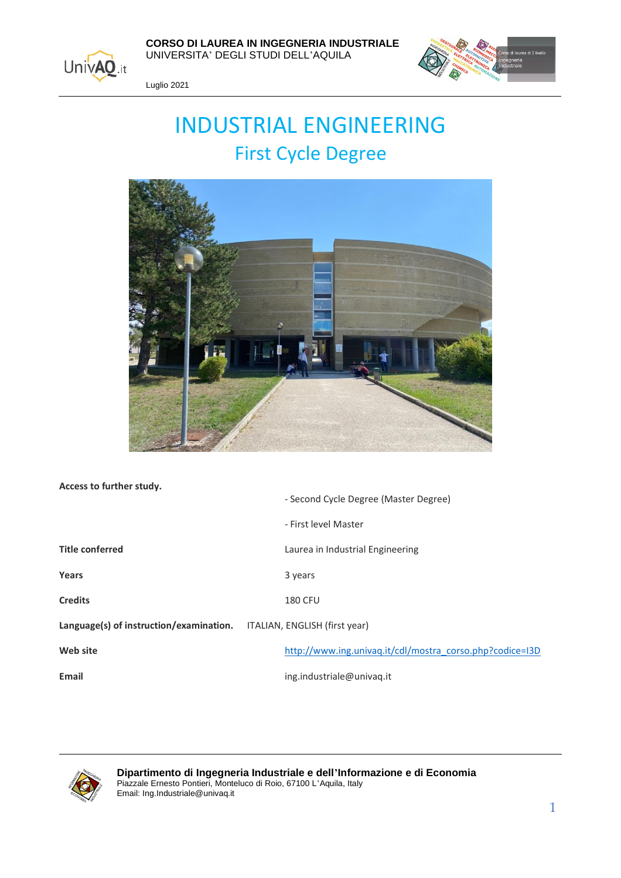

 **CORSO DI LAUREA IN INGEGNERIA INDUSTRIALE** UNIVERSITA' DEGLI STUDI DELL'AQUILA



Luglio 2021

# INDUSTRIAL ENGINEERING First Cycle Degree



**Access to further study.**

|                                                                       | - Second Cycle Degree (Master Degree)                    |
|-----------------------------------------------------------------------|----------------------------------------------------------|
|                                                                       | - First level Master                                     |
| <b>Title conferred</b>                                                | Laurea in Industrial Engineering                         |
| Years                                                                 | 3 years                                                  |
| <b>Credits</b>                                                        | <b>180 CFU</b>                                           |
| Language(s) of instruction/examination. ITALIAN, ENGLISH (first year) |                                                          |
| Web site                                                              | http://www.ing.univag.it/cdl/mostra_corso.php?codice=I3D |
| <b>Email</b>                                                          | ing.industriale@univag.it                                |

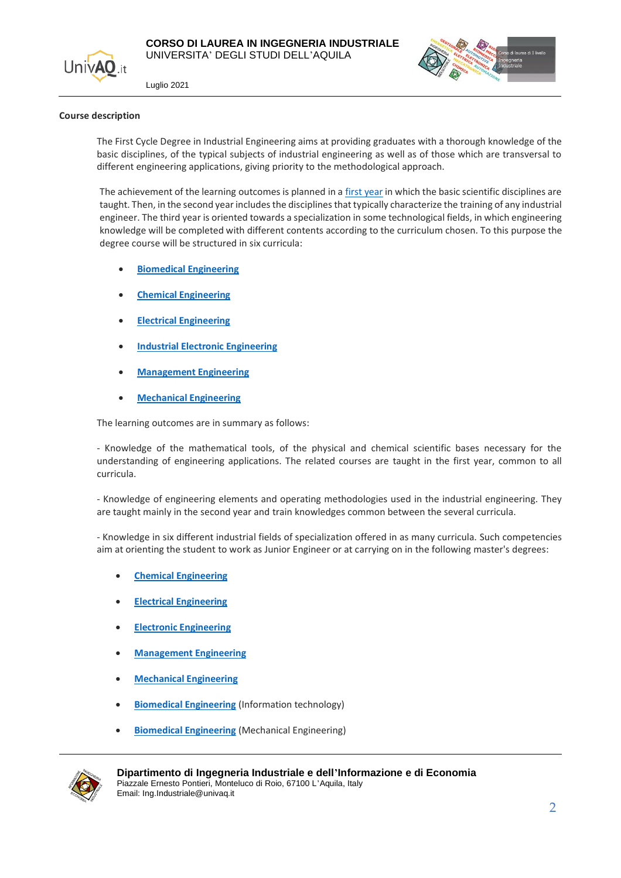





#### **Course description**

The First Cycle Degree in Industrial Engineering aims at providing graduates with a thorough knowledge of the basic disciplines, of the typical subjects of industrial engineering as well as of those which are transversal to different engineering applications, giving priority to the methodological approach.

The achievement of the learning outcomes is planned in a [first year](#page-3-0) in which the basic scientific disciplines are taught. Then, in the second year includes the disciplines that typically characterize the training of any industrial engineer. The third year is oriented towards a specialization in some technological fields, in which engineering knowledge will be completed with different contents according to the curriculum chosen. To this purpose the degree course will be structured in six curricula:

- **[Biomedical Engineering](#page-4-0)**
- **[Chemical Engineering](#page-8-0)**
- **[Electrical Engineering](#page-16-0)**
- **[Industrial Electronic Engineering](#page-12-0)**
- **[Management Engineering](#page-20-0)**
- **[Mechanical Engineering](#page-24-0)**

The learning outcomes are in summary as follows:

- Knowledge of the mathematical tools, of the physical and chemical scientific bases necessary for the understanding of engineering applications. The related courses are taught in the first year, common to all curricula.

- Knowledge of engineering elements and operating methodologies used in the industrial engineering. They are taught mainly in the second year and train knowledges common between the several curricula.

- Knowledge in six different industrial fields of specialization offered in as many curricula. Such competencies aim at orienting the student to work as Junior Engineer or at carrying on in the following master's degrees:

- **[Chemical Engineering](http://www.ing.univaq.it/cdl/mostra_corso.php?codice=I4H)**
- **[Electrical Engineering](http://www.ing.univaq.it/cdl/mostra_corso.php?codice=I4L)**
- **[Electronic Engineering](http://www.ing.univaq.it/cdl/mostra_corso.php?codice=I4E)**
- **[Management Engineering](http://www.ing.univaq.it/cdl/mostra_corso.php?codice=I4G)**
- **[Mechanical Engineering](http://www.ing.univaq.it/cdl/mostra_corso.php?codice=I4M)**
- **[Biomedical Engineering](http://www.ing.univaq.it/cdl/mostra_corso.php?codice=I4E)** (Information technology)
- **[Biomedical Engineering](http://www.ing.univaq.it/cdl/mostra_corso.php?codice=I4M)** (Mechanical Engineering)

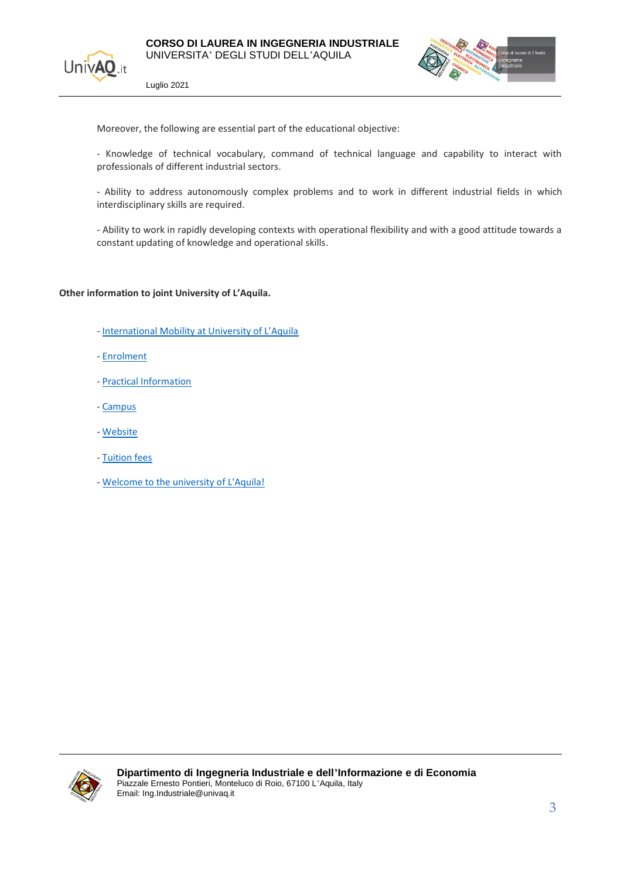



Moreover, the following are essential part of the educational objective:

- Knowledge of technical vocabulary, command of technical language and capability to interact with professionals of different industrial sectors.

- Ability to address autonomously complex problems and to work in different industrial fields in which interdisciplinary skills are required.

- Ability to work in rapidly developing contexts with operational flexibility and with a good attitude towards a constant updating of knowledge and operational skills.

#### **Other information to joint University of L'Aquila.**

- [International Mobility at University of L'Aquila](https://www.univaq.it/en/section.php?id=333&lang_s=en)
- [Enrolment](https://www.univaq.it/en/section.php?id=2065)
- [Practical Information](https://www.univaq.it/en/section.php?id=2069)
- [Campus](http://www.ing.univaq.it/main/raggiungerci.php)
- [Website](http://www.ing.univaq.it/cdl/mostra_corso.php?codice=I3D)
- [Tuition fees](https://www.univaq.it/section.php?id=55)
- [Welcome to the university of L'Aquila!](https://www.univaq.it/en/index.php)

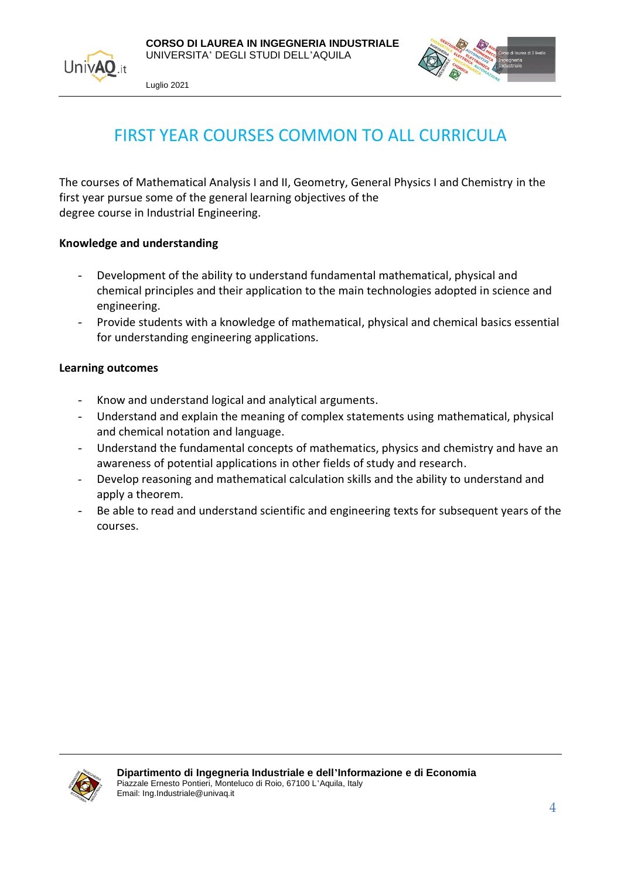





## FIRST YEAR COURSES COMMON TO ALL CURRICULA

<span id="page-3-0"></span>The courses of Mathematical Analysis I and II, Geometry, General Physics I and Chemistry in the first year pursue some of the general learning objectives of the degree course in Industrial Engineering.

#### **Knowledge and understanding**

- Development of the ability to understand fundamental mathematical, physical and chemical principles and their application to the main technologies adopted in science and engineering.
- Provide students with a knowledge of mathematical, physical and chemical basics essential for understanding engineering applications.

#### **Learning outcomes**

- Know and understand logical and analytical arguments.
- Understand and explain the meaning of complex statements using mathematical, physical and chemical notation and language.
- Understand the fundamental concepts of mathematics, physics and chemistry and have an awareness of potential applications in other fields of study and research.
- Develop reasoning and mathematical calculation skills and the ability to understand and apply a theorem.
- Be able to read and understand scientific and engineering texts for subsequent years of the courses.

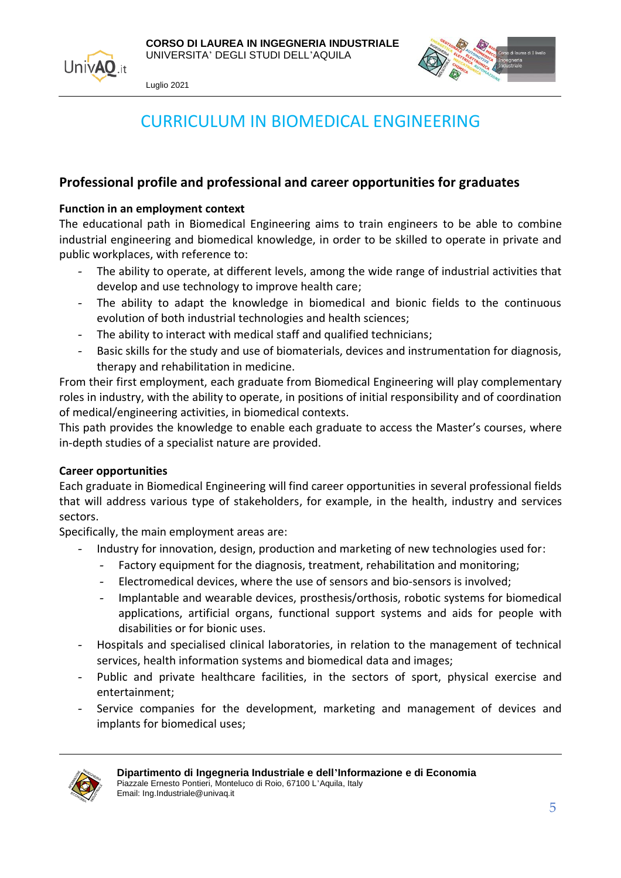<span id="page-4-0"></span>



## CURRICULUM IN BIOMEDICAL ENGINEERING

#### **Professional profile and professional and career opportunities for graduates**

#### **Function in an employment context**

The educational path in Biomedical Engineering aims to train engineers to be able to combine industrial engineering and biomedical knowledge, in order to be skilled to operate in private and public workplaces, with reference to:

- The ability to operate, at different levels, among the wide range of industrial activities that develop and use technology to improve health care;
- The ability to adapt the knowledge in biomedical and bionic fields to the continuous evolution of both industrial technologies and health sciences;
- The ability to interact with medical staff and qualified technicians;
- Basic skills for the study and use of biomaterials, devices and instrumentation for diagnosis, therapy and rehabilitation in medicine.

From their first employment, each graduate from Biomedical Engineering will play complementary roles in industry, with the ability to operate, in positions of initial responsibility and of coordination of medical/engineering activities, in biomedical contexts.

This path provides the knowledge to enable each graduate to access the Master's courses, where in-depth studies of a specialist nature are provided.

#### **Career opportunities**

Each graduate in Biomedical Engineering will find career opportunities in several professional fields that will address various type of stakeholders, for example, in the health, industry and services sectors.

Specifically, the main employment areas are:

- Industry for innovation, design, production and marketing of new technologies used for:
	- Factory equipment for the diagnosis, treatment, rehabilitation and monitoring;
	- Electromedical devices, where the use of sensors and bio-sensors is involved;
	- Implantable and wearable devices, prosthesis/orthosis, robotic systems for biomedical applications, artificial organs, functional support systems and aids for people with disabilities or for bionic uses.
- Hospitals and specialised clinical laboratories, in relation to the management of technical services, health information systems and biomedical data and images;
- Public and private healthcare facilities, in the sectors of sport, physical exercise and entertainment;
- Service companies for the development, marketing and management of devices and implants for biomedical uses;

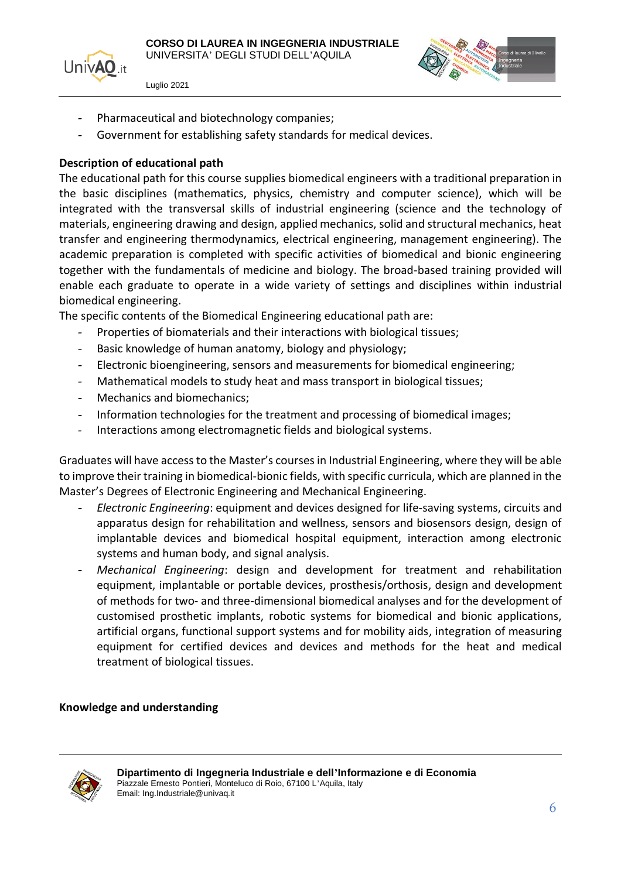



- Pharmaceutical and biotechnology companies;
- Government for establishing safety standards for medical devices.

#### **Description of educational path**

The educational path for this course supplies biomedical engineers with a traditional preparation in the basic disciplines (mathematics, physics, chemistry and computer science), which will be integrated with the transversal skills of industrial engineering (science and the technology of materials, engineering drawing and design, applied mechanics, solid and structural mechanics, heat transfer and engineering thermodynamics, electrical engineering, management engineering). The academic preparation is completed with specific activities of biomedical and bionic engineering together with the fundamentals of medicine and biology. The broad-based training provided will enable each graduate to operate in a wide variety of settings and disciplines within industrial biomedical engineering.

The specific contents of the Biomedical Engineering educational path are:

- Properties of biomaterials and their interactions with biological tissues;
- Basic knowledge of human anatomy, biology and physiology;
- Electronic bioengineering, sensors and measurements for biomedical engineering;
- Mathematical models to study heat and mass transport in biological tissues;
- Mechanics and biomechanics:
- Information technologies for the treatment and processing of biomedical images;
- Interactions among electromagnetic fields and biological systems.

Graduates will have access to the Master's courses in Industrial Engineering, where they will be able to improve their training in biomedical-bionic fields, with specific curricula, which are planned in the Master's Degrees of Electronic Engineering and Mechanical Engineering.

- *Electronic Engineering*: equipment and devices designed for life-saving systems, circuits and apparatus design for rehabilitation and wellness, sensors and biosensors design, design of implantable devices and biomedical hospital equipment, interaction among electronic systems and human body, and signal analysis.
- *Mechanical Engineering*: design and development for treatment and rehabilitation equipment, implantable or portable devices, prosthesis/orthosis, design and development of methods for two- and three-dimensional biomedical analyses and for the development of customised prosthetic implants, robotic systems for biomedical and bionic applications, artificial organs, functional support systems and for mobility aids, integration of measuring equipment for certified devices and devices and methods for the heat and medical treatment of biological tissues.

#### **Knowledge and understanding**

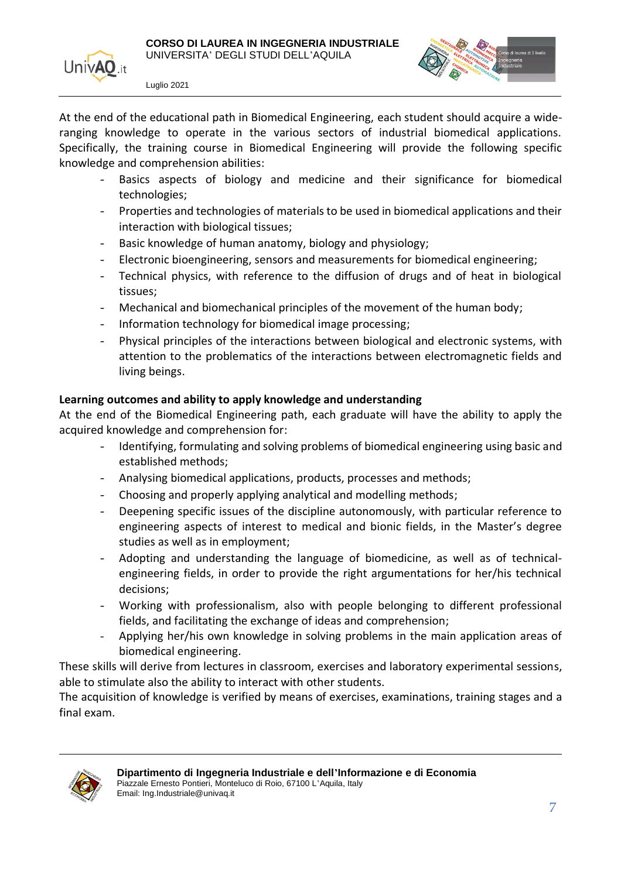

At the end of the educational path in Biomedical Engineering, each student should acquire a wideranging knowledge to operate in the various sectors of industrial biomedical applications. Specifically, the training course in Biomedical Engineering will provide the following specific knowledge and comprehension abilities:

- Basics aspects of biology and medicine and their significance for biomedical technologies;
- Properties and technologies of materials to be used in biomedical applications and their interaction with biological tissues;
- Basic knowledge of human anatomy, biology and physiology;
- Electronic bioengineering, sensors and measurements for biomedical engineering;
- Technical physics, with reference to the diffusion of drugs and of heat in biological tissues;
- Mechanical and biomechanical principles of the movement of the human body;
- Information technology for biomedical image processing;
- Physical principles of the interactions between biological and electronic systems, with attention to the problematics of the interactions between electromagnetic fields and living beings.

#### **Learning outcomes and ability to apply knowledge and understanding**

At the end of the Biomedical Engineering path, each graduate will have the ability to apply the acquired knowledge and comprehension for:

- Identifying, formulating and solving problems of biomedical engineering using basic and established methods;
- Analysing biomedical applications, products, processes and methods;
- Choosing and properly applying analytical and modelling methods;
- Deepening specific issues of the discipline autonomously, with particular reference to engineering aspects of interest to medical and bionic fields, in the Master's degree studies as well as in employment;
- Adopting and understanding the language of biomedicine, as well as of technicalengineering fields, in order to provide the right argumentations for her/his technical decisions;
- Working with professionalism, also with people belonging to different professional fields, and facilitating the exchange of ideas and comprehension;
- Applying her/his own knowledge in solving problems in the main application areas of biomedical engineering.

These skills will derive from lectures in classroom, exercises and laboratory experimental sessions, able to stimulate also the ability to interact with other students.

The acquisition of knowledge is verified by means of exercises, examinations, training stages and a final exam.

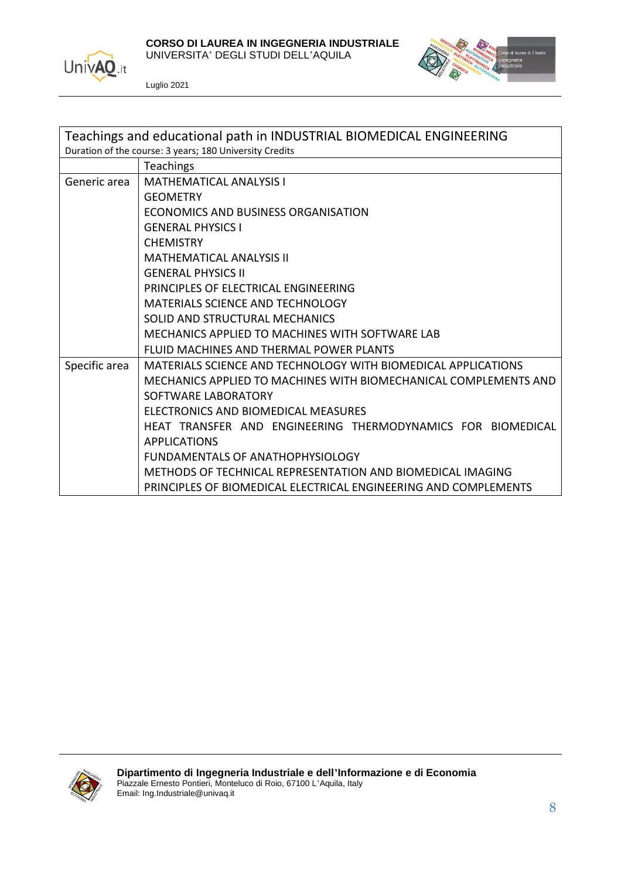



| Teachings and educational path in INDUSTRIAL BIOMEDICAL ENGINEERING |                                                                  |
|---------------------------------------------------------------------|------------------------------------------------------------------|
|                                                                     | Duration of the course: 3 years; 180 University Credits          |
|                                                                     | <b>Teachings</b>                                                 |
| Generic area                                                        | <b>MATHEMATICAL ANALYSIS I</b>                                   |
|                                                                     | <b>GEOMETRY</b>                                                  |
|                                                                     | ECONOMICS AND BUSINESS ORGANISATION                              |
|                                                                     | <b>GENERAL PHYSICS I</b>                                         |
|                                                                     | <b>CHEMISTRY</b>                                                 |
|                                                                     | <b>MATHEMATICAL ANALYSIS II</b>                                  |
|                                                                     | <b>GENERAL PHYSICS II</b>                                        |
|                                                                     | PRINCIPLES OF ELECTRICAL ENGINEERING                             |
|                                                                     | <b>MATERIALS SCIENCE AND TECHNOLOGY</b>                          |
|                                                                     | SOLID AND STRUCTURAL MECHANICS                                   |
|                                                                     | MECHANICS APPLIED TO MACHINES WITH SOFTWARE LAB                  |
|                                                                     | FLUID MACHINES AND THERMAL POWER PLANTS                          |
| Specific area                                                       | MATERIALS SCIENCE AND TECHNOLOGY WITH BIOMEDICAL APPLICATIONS    |
|                                                                     | MECHANICS APPLIED TO MACHINES WITH BIOMECHANICAL COMPLEMENTS AND |
|                                                                     | SOFTWARE LABORATORY                                              |
|                                                                     | ELECTRONICS AND BIOMEDICAL MEASURES                              |
|                                                                     | HEAT TRANSFER AND ENGINEERING THERMODYNAMICS FOR BIOMEDICAL      |
|                                                                     | <b>APPLICATIONS</b>                                              |
|                                                                     | FUNDAMENTALS OF ANATHOPHYSIOLOGY                                 |
|                                                                     | METHODS OF TECHNICAL REPRESENTATION AND BIOMEDICAL IMAGING       |
|                                                                     | PRINCIPLES OF BIOMEDICAL ELECTRICAL ENGINEERING AND COMPLEMENTS  |

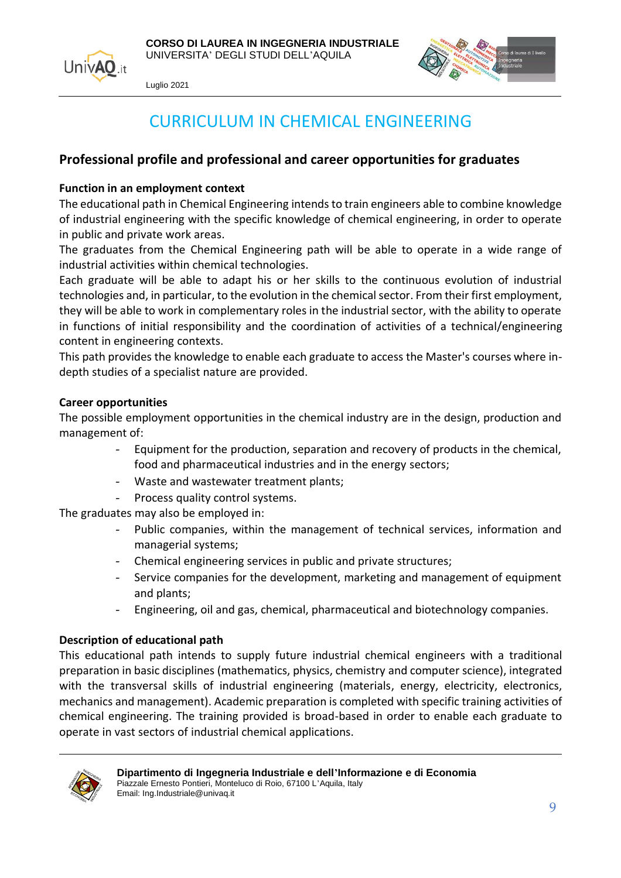



### CURRICULUM IN CHEMICAL ENGINEERING

#### <span id="page-8-0"></span>**Professional profile and professional and career opportunities for graduates**

#### **Function in an employment context**

The educational path in Chemical Engineering intends to train engineers able to combine knowledge of industrial engineering with the specific knowledge of chemical engineering, in order to operate in public and private work areas.

The graduates from the Chemical Engineering path will be able to operate in a wide range of industrial activities within chemical technologies.

Each graduate will be able to adapt his or her skills to the continuous evolution of industrial technologies and, in particular, to the evolution in the chemical sector. From their first employment, they will be able to work in complementary roles in the industrial sector, with the ability to operate in functions of initial responsibility and the coordination of activities of a technical/engineering content in engineering contexts.

This path provides the knowledge to enable each graduate to access the Master's courses where indepth studies of a specialist nature are provided.

#### **Career opportunities**

The possible employment opportunities in the chemical industry are in the design, production and management of:

- Equipment for the production, separation and recovery of products in the chemical, food and pharmaceutical industries and in the energy sectors;
- Waste and wastewater treatment plants;
- Process quality control systems.

The graduates may also be employed in:

- Public companies, within the management of technical services, information and managerial systems;
- Chemical engineering services in public and private structures;
- Service companies for the development, marketing and management of equipment and plants;
- Engineering, oil and gas, chemical, pharmaceutical and biotechnology companies.

#### **Description of educational path**

This educational path intends to supply future industrial chemical engineers with a traditional preparation in basic disciplines (mathematics, physics, chemistry and computer science), integrated with the transversal skills of industrial engineering (materials, energy, electricity, electronics, mechanics and management). Academic preparation is completed with specific training activities of chemical engineering. The training provided is broad-based in order to enable each graduate to operate in vast sectors of industrial chemical applications.

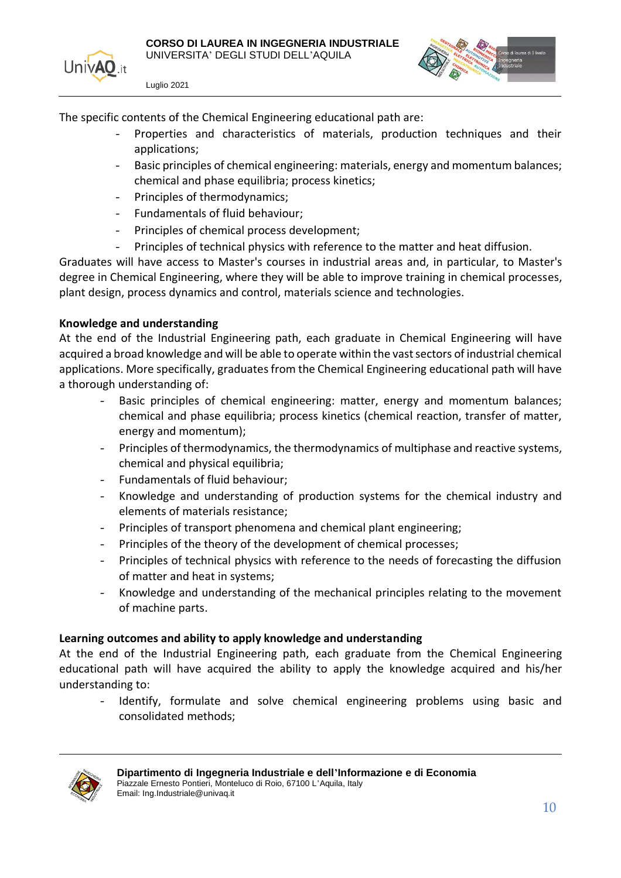

The specific contents of the Chemical Engineering educational path are:

- Properties and characteristics of materials, production techniques and their applications;
- Basic principles of chemical engineering: materials, energy and momentum balances; chemical and phase equilibria; process kinetics;
- Principles of thermodynamics;
- Fundamentals of fluid behaviour;
- Principles of chemical process development;
- Principles of technical physics with reference to the matter and heat diffusion.

Graduates will have access to Master's courses in industrial areas and, in particular, to Master's degree in Chemical Engineering, where they will be able to improve training in chemical processes, plant design, process dynamics and control, materials science and technologies.

#### **Knowledge and understanding**

At the end of the Industrial Engineering path, each graduate in Chemical Engineering will have acquired a broad knowledge and will be able to operate within the vast sectors of industrial chemical applications. More specifically, graduates from the Chemical Engineering educational path will have a thorough understanding of:

- Basic principles of chemical engineering: matter, energy and momentum balances; chemical and phase equilibria; process kinetics (chemical reaction, transfer of matter, energy and momentum);
- Principles of thermodynamics, the thermodynamics of multiphase and reactive systems, chemical and physical equilibria;
- Fundamentals of fluid behaviour;
- Knowledge and understanding of production systems for the chemical industry and elements of materials resistance;
- Principles of transport phenomena and chemical plant engineering;
- Principles of the theory of the development of chemical processes:
- Principles of technical physics with reference to the needs of forecasting the diffusion of matter and heat in systems;
- Knowledge and understanding of the mechanical principles relating to the movement of machine parts.

#### **Learning outcomes and ability to apply knowledge and understanding**

At the end of the Industrial Engineering path, each graduate from the Chemical Engineering educational path will have acquired the ability to apply the knowledge acquired and his/her understanding to:

Identify, formulate and solve chemical engineering problems using basic and consolidated methods;

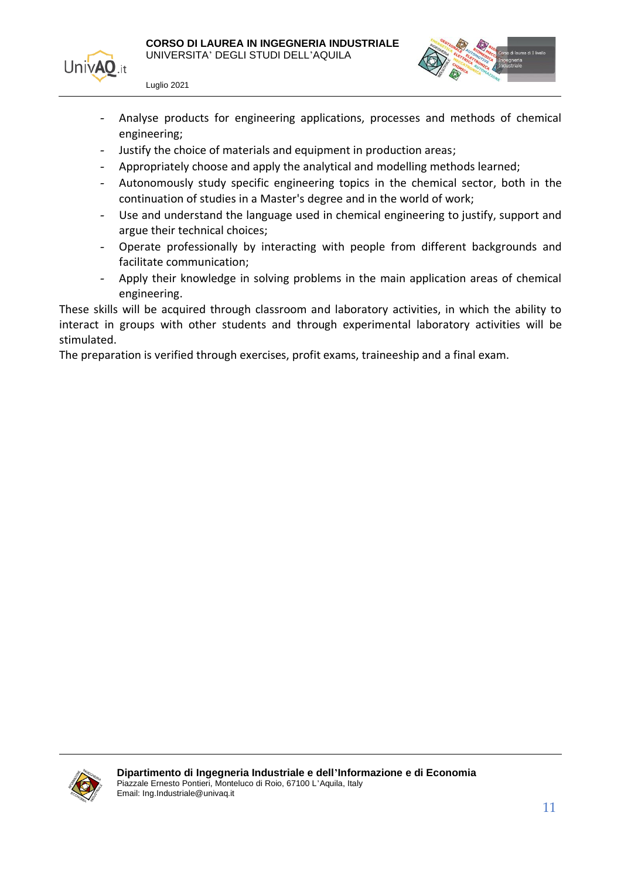



- Analyse products for engineering applications, processes and methods of chemical engineering;
- Justify the choice of materials and equipment in production areas;
- Appropriately choose and apply the analytical and modelling methods learned;
- Autonomously study specific engineering topics in the chemical sector, both in the continuation of studies in a Master's degree and in the world of work;
- Use and understand the language used in chemical engineering to justify, support and argue their technical choices;
- Operate professionally by interacting with people from different backgrounds and facilitate communication;
- Apply their knowledge in solving problems in the main application areas of chemical engineering.

These skills will be acquired through classroom and laboratory activities, in which the ability to interact in groups with other students and through experimental laboratory activities will be stimulated.

The preparation is verified through exercises, profit exams, traineeship and a final exam.

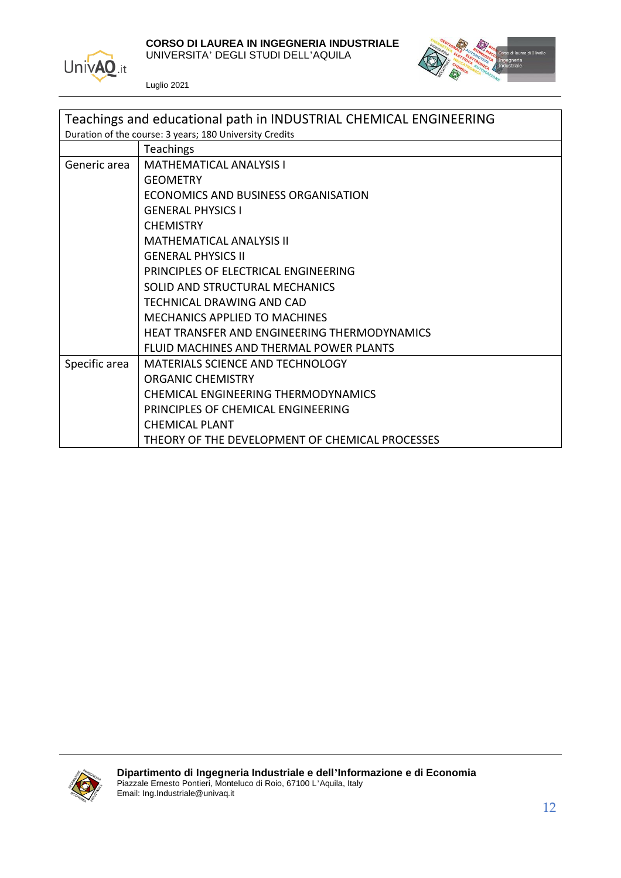

**CORSO DI LAUREA IN INGEGNERIA INDUSTRIALE**

UNIVERSITA' DEGLI STUDI DELL'AQUILA



| Teachings and educational path in INDUSTRIAL CHEMICAL ENGINEERING |                                                 |
|-------------------------------------------------------------------|-------------------------------------------------|
| Duration of the course: 3 years; 180 University Credits           |                                                 |
|                                                                   | <b>Teachings</b>                                |
| Generic area                                                      | <b>MATHEMATICAL ANALYSIS I</b>                  |
|                                                                   | <b>GEOMETRY</b>                                 |
|                                                                   | ECONOMICS AND BUSINESS ORGANISATION             |
|                                                                   | <b>GENERAL PHYSICS I</b>                        |
|                                                                   | <b>CHEMISTRY</b>                                |
|                                                                   | <b>MATHEMATICAL ANALYSIS II</b>                 |
|                                                                   | <b>GENERAL PHYSICS II</b>                       |
|                                                                   | PRINCIPLES OF ELECTRICAL ENGINEERING            |
|                                                                   | SOLID AND STRUCTURAL MECHANICS                  |
|                                                                   | TECHNICAL DRAWING AND CAD                       |
|                                                                   | MECHANICS APPLIED TO MACHINES                   |
|                                                                   | HEAT TRANSFER AND ENGINEERING THERMODYNAMICS    |
|                                                                   | FLUID MACHINES AND THERMAL POWER PLANTS         |
| Specific area                                                     | <b>MATERIALS SCIENCE AND TECHNOLOGY</b>         |
|                                                                   | ORGANIC CHEMISTRY                               |
|                                                                   | CHEMICAL ENGINEERING THERMODYNAMICS             |
|                                                                   | PRINCIPLES OF CHEMICAL ENGINEERING              |
|                                                                   | <b>CHEMICAL PLANT</b>                           |
|                                                                   | THEORY OF THE DEVELOPMENT OF CHEMICAL PROCESSES |

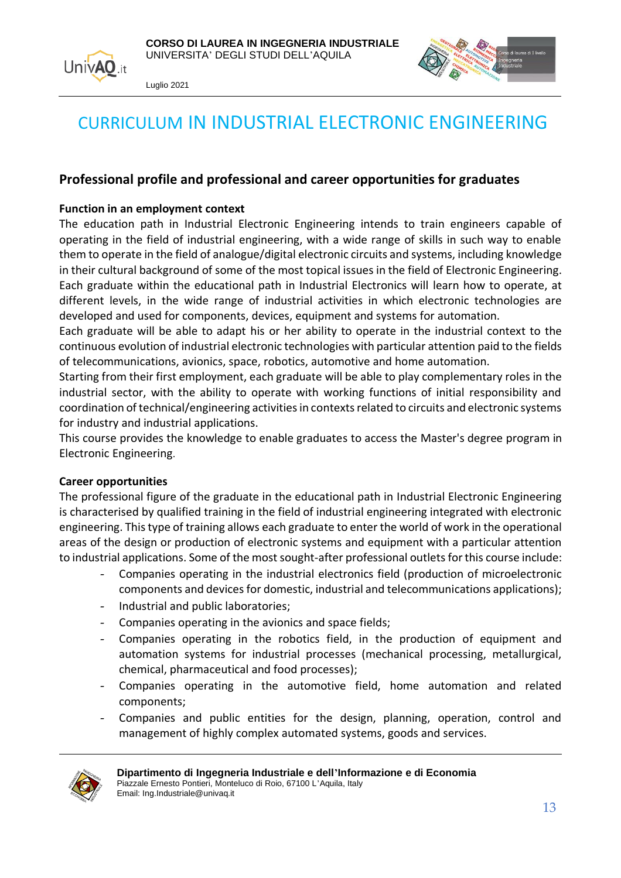



## <span id="page-12-0"></span>CURRICULUM IN INDUSTRIAL ELECTRONIC ENGINEERING

#### **Professional profile and professional and career opportunities for graduates**

#### **Function in an employment context**

The education path in Industrial Electronic Engineering intends to train engineers capable of operating in the field of industrial engineering, with a wide range of skills in such way to enable them to operate in the field of analogue/digital electronic circuits and systems, including knowledge in their cultural background of some of the most topical issues in the field of Electronic Engineering. Each graduate within the educational path in Industrial Electronics will learn how to operate, at different levels, in the wide range of industrial activities in which electronic technologies are developed and used for components, devices, equipment and systems for automation.

Each graduate will be able to adapt his or her ability to operate in the industrial context to the continuous evolution of industrial electronic technologies with particular attention paid to the fields of telecommunications, avionics, space, robotics, automotive and home automation.

Starting from their first employment, each graduate will be able to play complementary roles in the industrial sector, with the ability to operate with working functions of initial responsibility and coordination of technical/engineering activities in contexts related to circuits and electronic systems for industry and industrial applications.

This course provides the knowledge to enable graduates to access the Master's degree program in Electronic Engineering.

#### **Career opportunities**

The professional figure of the graduate in the educational path in Industrial Electronic Engineering is characterised by qualified training in the field of industrial engineering integrated with electronic engineering. This type of training allows each graduate to enter the world of work in the operational areas of the design or production of electronic systems and equipment with a particular attention to industrial applications. Some of the most sought-after professional outlets for this course include:

- Companies operating in the industrial electronics field (production of microelectronic components and devices for domestic, industrial and telecommunications applications);
- Industrial and public laboratories;
- Companies operating in the avionics and space fields:
- Companies operating in the robotics field, in the production of equipment and automation systems for industrial processes (mechanical processing, metallurgical, chemical, pharmaceutical and food processes);
- Companies operating in the automotive field, home automation and related components;
- Companies and public entities for the design, planning, operation, control and management of highly complex automated systems, goods and services.

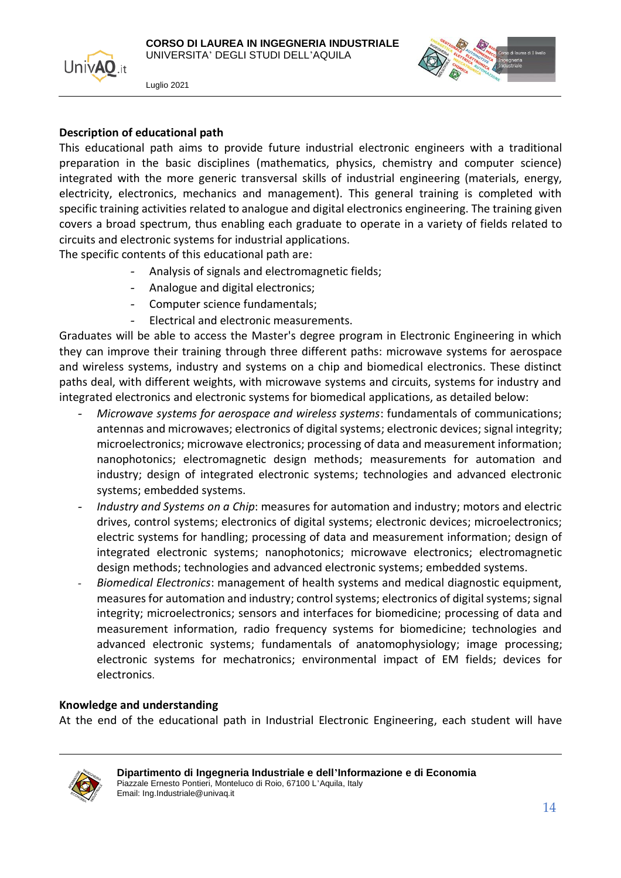



#### **Description of educational path**

This educational path aims to provide future industrial electronic engineers with a traditional preparation in the basic disciplines (mathematics, physics, chemistry and computer science) integrated with the more generic transversal skills of industrial engineering (materials, energy, electricity, electronics, mechanics and management). This general training is completed with specific training activities related to analogue and digital electronics engineering. The training given covers a broad spectrum, thus enabling each graduate to operate in a variety of fields related to circuits and electronic systems for industrial applications.

The specific contents of this educational path are:

- Analysis of signals and electromagnetic fields;
- Analogue and digital electronics;
- Computer science fundamentals;
- Electrical and electronic measurements.

Graduates will be able to access the Master's degree program in Electronic Engineering in which they can improve their training through three different paths: microwave systems for aerospace and wireless systems, industry and systems on a chip and biomedical electronics. These distinct paths deal, with different weights, with microwave systems and circuits, systems for industry and integrated electronics and electronic systems for biomedical applications, as detailed below:

- *Microwave systems for aerospace and wireless systems*: fundamentals of communications; antennas and microwaves; electronics of digital systems; electronic devices; signal integrity; microelectronics; microwave electronics; processing of data and measurement information; nanophotonics; electromagnetic design methods; measurements for automation and industry; design of integrated electronic systems; technologies and advanced electronic systems; embedded systems.
- *Industry and Systems on a Chip*: measures for automation and industry; motors and electric drives, control systems; electronics of digital systems; electronic devices; microelectronics; electric systems for handling; processing of data and measurement information; design of integrated electronic systems; nanophotonics; microwave electronics; electromagnetic design methods; technologies and advanced electronic systems; embedded systems.
- *Biomedical Electronics*: management of health systems and medical diagnostic equipment, measures for automation and industry; control systems; electronics of digital systems; signal integrity; microelectronics; sensors and interfaces for biomedicine; processing of data and measurement information, radio frequency systems for biomedicine; technologies and advanced electronic systems; fundamentals of anatomophysiology; image processing; electronic systems for mechatronics; environmental impact of EM fields; devices for electronics.

#### **Knowledge and understanding**

At the end of the educational path in Industrial Electronic Engineering, each student will have

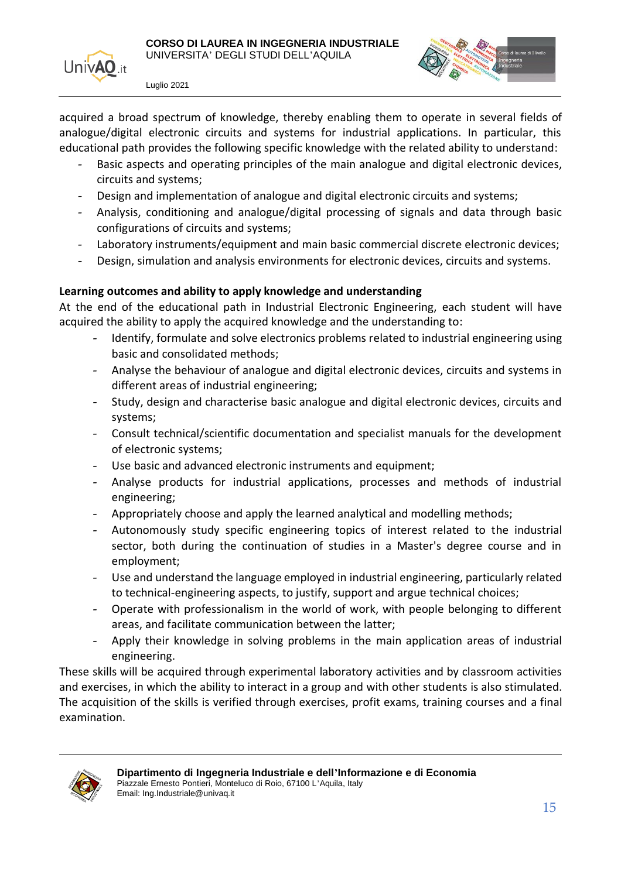

acquired a broad spectrum of knowledge, thereby enabling them to operate in several fields of analogue/digital electronic circuits and systems for industrial applications. In particular, this educational path provides the following specific knowledge with the related ability to understand:

- Basic aspects and operating principles of the main analogue and digital electronic devices, circuits and systems;
- Design and implementation of analogue and digital electronic circuits and systems;
- Analysis, conditioning and analogue/digital processing of signals and data through basic configurations of circuits and systems;
- Laboratory instruments/equipment and main basic commercial discrete electronic devices;
- Design, simulation and analysis environments for electronic devices, circuits and systems.

#### **Learning outcomes and ability to apply knowledge and understanding**

At the end of the educational path in Industrial Electronic Engineering, each student will have acquired the ability to apply the acquired knowledge and the understanding to:

- Identify, formulate and solve electronics problems related to industrial engineering using basic and consolidated methods;
- Analyse the behaviour of analogue and digital electronic devices, circuits and systems in different areas of industrial engineering;
- Study, design and characterise basic analogue and digital electronic devices, circuits and systems;
- Consult technical/scientific documentation and specialist manuals for the development of electronic systems;
- Use basic and advanced electronic instruments and equipment;
- Analyse products for industrial applications, processes and methods of industrial engineering;
- Appropriately choose and apply the learned analytical and modelling methods;
- Autonomously study specific engineering topics of interest related to the industrial sector, both during the continuation of studies in a Master's degree course and in employment;
- Use and understand the language employed in industrial engineering, particularly related to technical-engineering aspects, to justify, support and argue technical choices;
- Operate with professionalism in the world of work, with people belonging to different areas, and facilitate communication between the latter;
- Apply their knowledge in solving problems in the main application areas of industrial engineering.

These skills will be acquired through experimental laboratory activities and by classroom activities and exercises, in which the ability to interact in a group and with other students is also stimulated. The acquisition of the skills is verified through exercises, profit exams, training courses and a final examination.

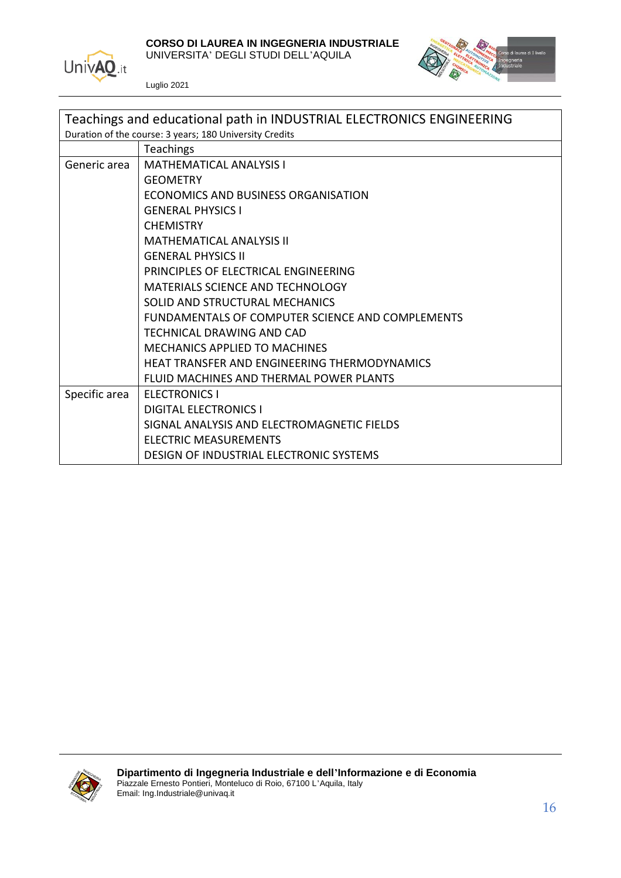

**CORSO DI LAUREA IN INGEGNERIA INDUSTRIALE**

UNIVERSITA' DEGLI STUDI DELL'AQUILA



| Teachings and educational path in INDUSTRIAL ELECTRONICS ENGINEERING |                                                  |
|----------------------------------------------------------------------|--------------------------------------------------|
| Duration of the course: 3 years; 180 University Credits              |                                                  |
|                                                                      | Teachings                                        |
| Generic area                                                         | <b>MATHEMATICAL ANALYSIS I</b>                   |
|                                                                      | <b>GEOMETRY</b>                                  |
|                                                                      | ECONOMICS AND BUSINESS ORGANISATION              |
|                                                                      | <b>GENERAL PHYSICS I</b>                         |
|                                                                      | <b>CHEMISTRY</b>                                 |
|                                                                      | <b>MATHEMATICAL ANALYSIS II</b>                  |
|                                                                      | <b>GENERAL PHYSICS II</b>                        |
|                                                                      | PRINCIPLES OF ELECTRICAL ENGINEERING             |
|                                                                      | <b>MATERIALS SCIENCE AND TECHNOLOGY</b>          |
|                                                                      | SOLID AND STRUCTURAL MECHANICS                   |
|                                                                      | FUNDAMENTALS OF COMPUTER SCIENCE AND COMPLEMENTS |
|                                                                      | <b>TECHNICAL DRAWING AND CAD</b>                 |
|                                                                      | <b>MECHANICS APPLIED TO MACHINES</b>             |
|                                                                      | HEAT TRANSFER AND ENGINEERING THERMODYNAMICS     |
|                                                                      | FLUID MACHINES AND THERMAL POWER PLANTS          |
| Specific area                                                        | <b>ELECTRONICS I</b>                             |
|                                                                      | <b>DIGITAL ELECTRONICS I</b>                     |
|                                                                      | SIGNAL ANALYSIS AND ELECTROMAGNETIC FIELDS       |
|                                                                      | <b>ELECTRIC MEASUREMENTS</b>                     |
|                                                                      | DESIGN OF INDUSTRIAL ELECTRONIC SYSTEMS          |

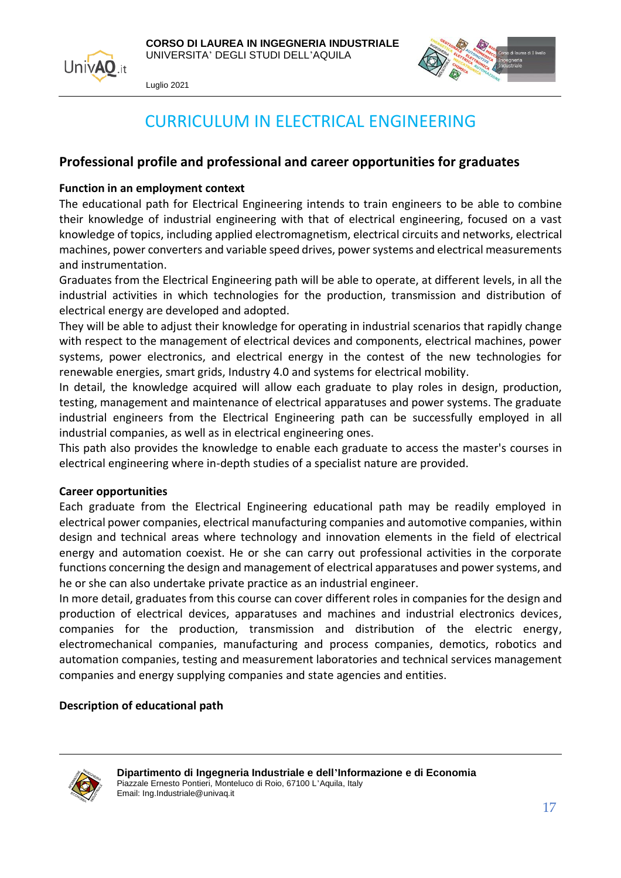



## CURRICULUM IN ELECTRICAL ENGINEERING

#### <span id="page-16-0"></span>**Professional profile and professional and career opportunities for graduates**

#### **Function in an employment context**

The educational path for Electrical Engineering intends to train engineers to be able to combine their knowledge of industrial engineering with that of electrical engineering, focused on a vast knowledge of topics, including applied electromagnetism, electrical circuits and networks, electrical machines, power converters and variable speed drives, power systems and electrical measurements and instrumentation.

Graduates from the Electrical Engineering path will be able to operate, at different levels, in all the industrial activities in which technologies for the production, transmission and distribution of electrical energy are developed and adopted.

They will be able to adjust their knowledge for operating in industrial scenarios that rapidly change with respect to the management of electrical devices and components, electrical machines, power systems, power electronics, and electrical energy in the contest of the new technologies for renewable energies, smart grids, Industry 4.0 and systems for electrical mobility.

In detail, the knowledge acquired will allow each graduate to play roles in design, production, testing, management and maintenance of electrical apparatuses and power systems. The graduate industrial engineers from the Electrical Engineering path can be successfully employed in all industrial companies, as well as in electrical engineering ones.

This path also provides the knowledge to enable each graduate to access the master's courses in electrical engineering where in-depth studies of a specialist nature are provided.

#### **Career opportunities**

Each graduate from the Electrical Engineering educational path may be readily employed in electrical power companies, electrical manufacturing companies and automotive companies, within design and technical areas where technology and innovation elements in the field of electrical energy and automation coexist. He or she can carry out professional activities in the corporate functions concerning the design and management of electrical apparatuses and power systems, and he or she can also undertake private practice as an industrial engineer.

In more detail, graduates from this course can cover different roles in companies for the design and production of electrical devices, apparatuses and machines and industrial electronics devices, companies for the production, transmission and distribution of the electric energy, electromechanical companies, manufacturing and process companies, demotics, robotics and automation companies, testing and measurement laboratories and technical services management companies and energy supplying companies and state agencies and entities.

#### **Description of educational path**

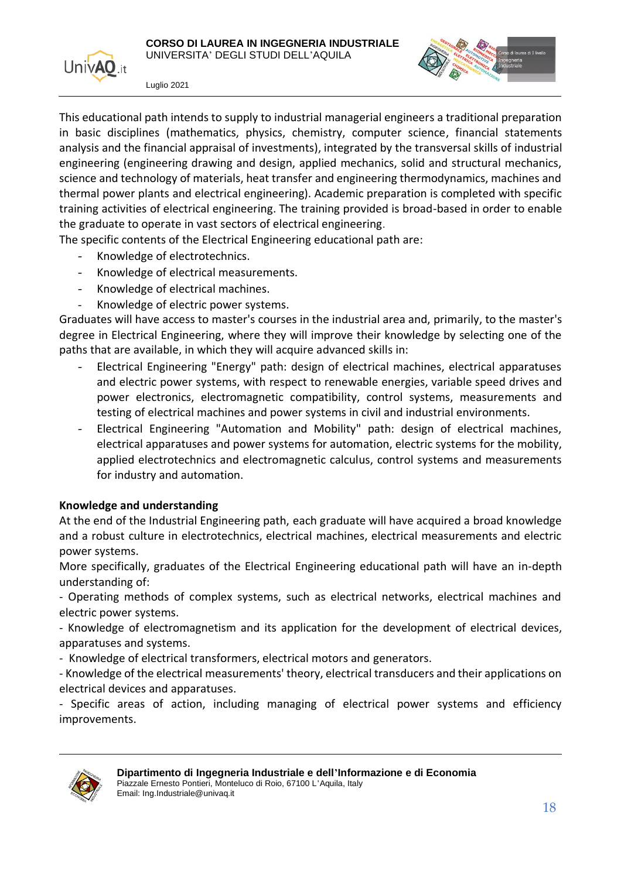

This educational path intends to supply to industrial managerial engineers a traditional preparation in basic disciplines (mathematics, physics, chemistry, computer science, financial statements analysis and the financial appraisal of investments), integrated by the transversal skills of industrial engineering (engineering drawing and design, applied mechanics, solid and structural mechanics, science and technology of materials, heat transfer and engineering thermodynamics, machines and thermal power plants and electrical engineering). Academic preparation is completed with specific training activities of electrical engineering. The training provided is broad-based in order to enable the graduate to operate in vast sectors of electrical engineering.

The specific contents of the Electrical Engineering educational path are:

- Knowledge of electrotechnics.
- Knowledge of electrical measurements.
- Knowledge of electrical machines.
- Knowledge of electric power systems.

Graduates will have access to master's courses in the industrial area and, primarily, to the master's degree in Electrical Engineering, where they will improve their knowledge by selecting one of the paths that are available, in which they will acquire advanced skills in:

- Electrical Engineering "Energy" path: design of electrical machines, electrical apparatuses and electric power systems, with respect to renewable energies, variable speed drives and power electronics, electromagnetic compatibility, control systems, measurements and testing of electrical machines and power systems in civil and industrial environments.
- Electrical Engineering "Automation and Mobility" path: design of electrical machines, electrical apparatuses and power systems for automation, electric systems for the mobility, applied electrotechnics and electromagnetic calculus, control systems and measurements for industry and automation.

#### **Knowledge and understanding**

At the end of the Industrial Engineering path, each graduate will have acquired a broad knowledge and a robust culture in electrotechnics, electrical machines, electrical measurements and electric power systems.

More specifically, graduates of the Electrical Engineering educational path will have an in-depth understanding of:

- Operating methods of complex systems, such as electrical networks, electrical machines and electric power systems.

- Knowledge of electromagnetism and its application for the development of electrical devices, apparatuses and systems.

- Knowledge of electrical transformers, electrical motors and generators.

- Knowledge of the electrical measurements' theory, electrical transducers and their applications on electrical devices and apparatuses.

- Specific areas of action, including managing of electrical power systems and efficiency improvements.

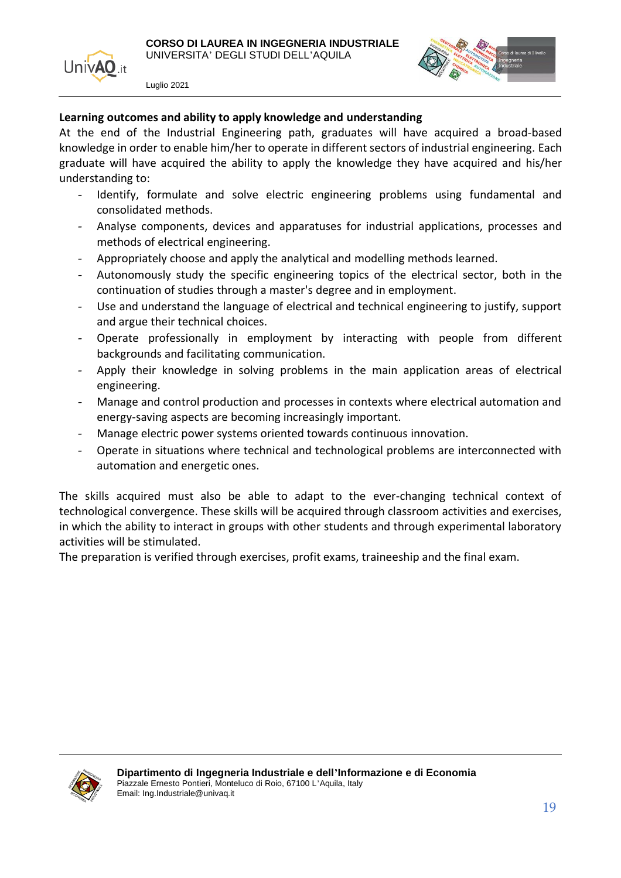



#### **Learning outcomes and ability to apply knowledge and understanding**

At the end of the Industrial Engineering path, graduates will have acquired a broad-based knowledge in order to enable him/her to operate in different sectors of industrial engineering. Each graduate will have acquired the ability to apply the knowledge they have acquired and his/her understanding to:

- Identify, formulate and solve electric engineering problems using fundamental and consolidated methods.
- Analyse components, devices and apparatuses for industrial applications, processes and methods of electrical engineering.
- Appropriately choose and apply the analytical and modelling methods learned.
- Autonomously study the specific engineering topics of the electrical sector, both in the continuation of studies through a master's degree and in employment.
- Use and understand the language of electrical and technical engineering to justify, support and argue their technical choices.
- Operate professionally in employment by interacting with people from different backgrounds and facilitating communication.
- Apply their knowledge in solving problems in the main application areas of electrical engineering.
- Manage and control production and processes in contexts where electrical automation and energy-saving aspects are becoming increasingly important.
- Manage electric power systems oriented towards continuous innovation.
- Operate in situations where technical and technological problems are interconnected with automation and energetic ones.

The skills acquired must also be able to adapt to the ever-changing technical context of technological convergence. These skills will be acquired through classroom activities and exercises, in which the ability to interact in groups with other students and through experimental laboratory activities will be stimulated.

The preparation is verified through exercises, profit exams, traineeship and the final exam.

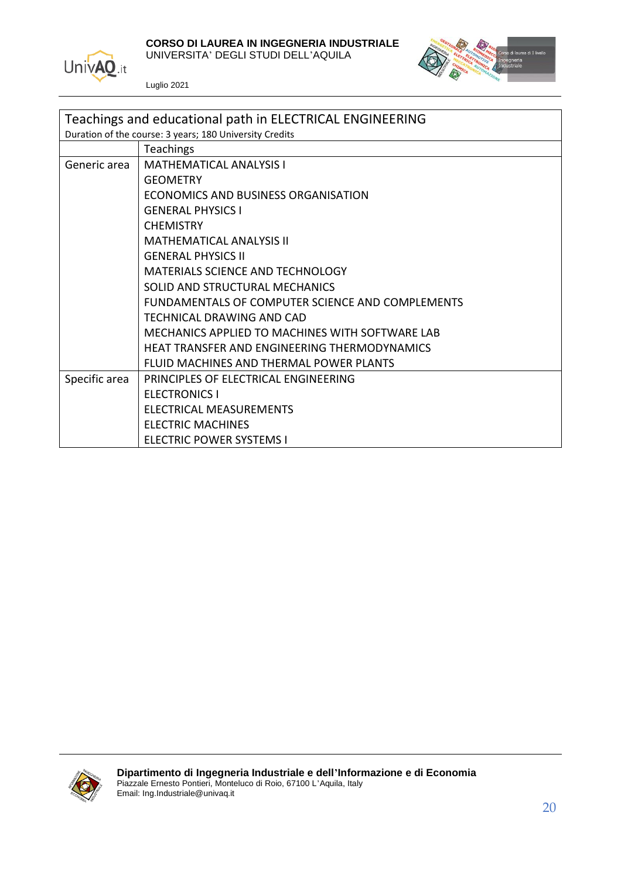

**CORSO DI LAUREA IN INGEGNERIA INDUSTRIALE**

UNIVERSITA' DEGLI STUDI DELL'AQUILA



| Teachings and educational path in ELECTRICAL ENGINEERING |                                                  |
|----------------------------------------------------------|--------------------------------------------------|
| Duration of the course: 3 years; 180 University Credits  |                                                  |
|                                                          | <b>Teachings</b>                                 |
| Generic area                                             | <b>MATHEMATICAL ANALYSIS I</b>                   |
|                                                          | <b>GEOMETRY</b>                                  |
|                                                          | ECONOMICS AND BUSINESS ORGANISATION              |
|                                                          | <b>GENERAL PHYSICS I</b>                         |
|                                                          | <b>CHEMISTRY</b>                                 |
|                                                          | <b>MATHEMATICAL ANALYSIS II</b>                  |
|                                                          | <b>GENERAL PHYSICS II</b>                        |
|                                                          | MATERIALS SCIENCE AND TECHNOLOGY                 |
|                                                          | SOLID AND STRUCTURAL MECHANICS                   |
|                                                          | FUNDAMENTALS OF COMPUTER SCIENCE AND COMPLEMENTS |
|                                                          | TECHNICAL DRAWING AND CAD                        |
|                                                          | MECHANICS APPLIED TO MACHINES WITH SOFTWARE LAB  |
|                                                          | HEAT TRANSFER AND ENGINEERING THERMODYNAMICS     |
|                                                          | FLUID MACHINES AND THERMAL POWER PLANTS          |
| Specific area                                            | PRINCIPLES OF ELECTRICAL ENGINEERING             |
|                                                          | <b>ELECTRONICS I</b>                             |
|                                                          | ELECTRICAL MEASUREMENTS                          |
|                                                          | <b>ELECTRIC MACHINES</b>                         |
|                                                          | <b>ELECTRIC POWER SYSTEMS I</b>                  |

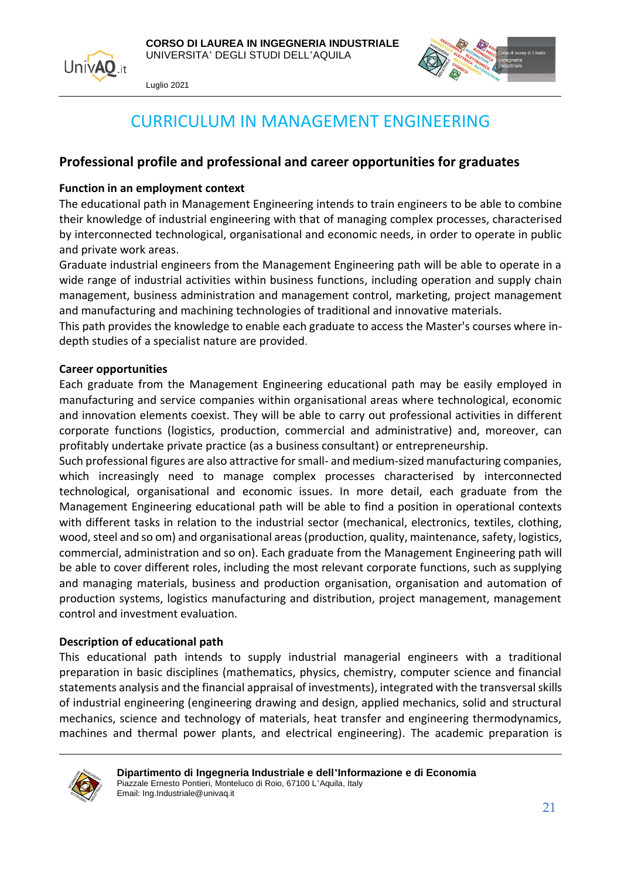



## CURRICULUM IN MANAGEMENT ENGINEERING

#### <span id="page-20-0"></span>**Professional profile and professional and career opportunities for graduates**

#### **Function in an employment context**

The educational path in Management Engineering intends to train engineers to be able to combine their knowledge of industrial engineering with that of managing complex processes, characterised by interconnected technological, organisational and economic needs, in order to operate in public and private work areas.

Graduate industrial engineers from the Management Engineering path will be able to operate in a wide range of industrial activities within business functions, including operation and supply chain management, business administration and management control, marketing, project management and manufacturing and machining technologies of traditional and innovative materials.

This path provides the knowledge to enable each graduate to access the Master's courses where indepth studies of a specialist nature are provided.

#### **Career opportunities**

Each graduate from the Management Engineering educational path may be easily employed in manufacturing and service companies within organisational areas where technological, economic and innovation elements coexist. They will be able to carry out professional activities in different corporate functions (logistics, production, commercial and administrative) and, moreover, can profitably undertake private practice (as a business consultant) or entrepreneurship.

Such professional figures are also attractive for small- and medium-sized manufacturing companies, which increasingly need to manage complex processes characterised by interconnected technological, organisational and economic issues. In more detail, each graduate from the Management Engineering educational path will be able to find a position in operational contexts with different tasks in relation to the industrial sector (mechanical, electronics, textiles, clothing, wood, steel and so om) and organisational areas (production, quality, maintenance, safety, logistics, commercial, administration and so on). Each graduate from the Management Engineering path will be able to cover different roles, including the most relevant corporate functions, such as supplying and managing materials, business and production organisation, organisation and automation of production systems, logistics manufacturing and distribution, project management, management control and investment evaluation.

#### **Description of educational path**

This educational path intends to supply industrial managerial engineers with a traditional preparation in basic disciplines (mathematics, physics, chemistry, computer science and financial statements analysis and the financial appraisal of investments), integrated with the transversal skills of industrial engineering (engineering drawing and design, applied mechanics, solid and structural mechanics, science and technology of materials, heat transfer and engineering thermodynamics, machines and thermal power plants, and electrical engineering). The academic preparation is

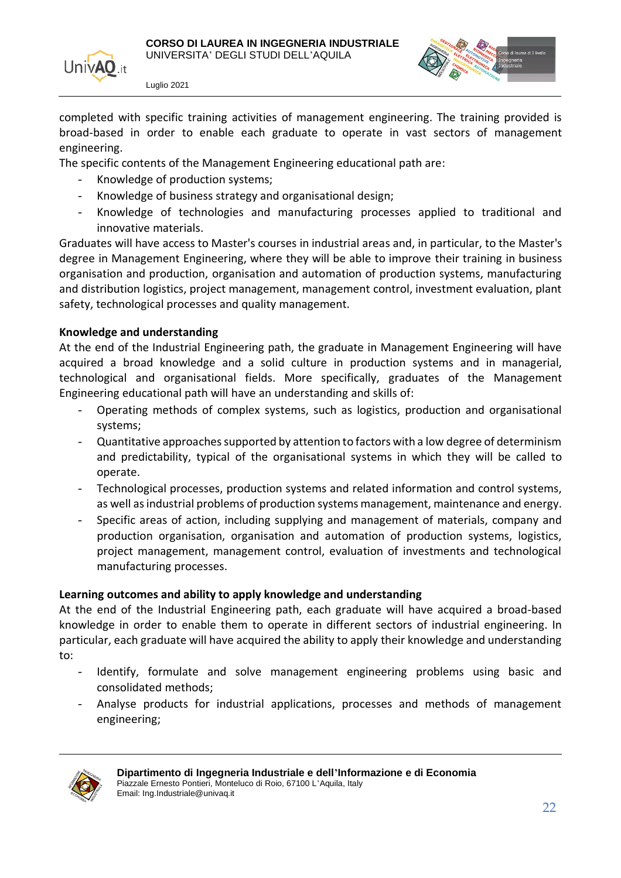



completed with specific training activities of management engineering. The training provided is broad-based in order to enable each graduate to operate in vast sectors of management engineering.

The specific contents of the Management Engineering educational path are:

- Knowledge of production systems;
- Knowledge of business strategy and organisational design;
- Knowledge of technologies and manufacturing processes applied to traditional and innovative materials.

Graduates will have access to Master's courses in industrial areas and, in particular, to the Master's degree in Management Engineering, where they will be able to improve their training in business organisation and production, organisation and automation of production systems, manufacturing and distribution logistics, project management, management control, investment evaluation, plant safety, technological processes and quality management.

#### **Knowledge and understanding**

At the end of the Industrial Engineering path, the graduate in Management Engineering will have acquired a broad knowledge and a solid culture in production systems and in managerial, technological and organisational fields. More specifically, graduates of the Management Engineering educational path will have an understanding and skills of:

- Operating methods of complex systems, such as logistics, production and organisational systems;
- Quantitative approaches supported by attention to factors with a low degree of determinism and predictability, typical of the organisational systems in which they will be called to operate.
- Technological processes, production systems and related information and control systems, as well as industrial problems of production systems management, maintenance and energy.
- Specific areas of action, including supplying and management of materials, company and production organisation, organisation and automation of production systems, logistics, project management, management control, evaluation of investments and technological manufacturing processes.

#### **Learning outcomes and ability to apply knowledge and understanding**

At the end of the Industrial Engineering path, each graduate will have acquired a broad-based knowledge in order to enable them to operate in different sectors of industrial engineering. In particular, each graduate will have acquired the ability to apply their knowledge and understanding to:

- Identify, formulate and solve management engineering problems using basic and consolidated methods;
- Analyse products for industrial applications, processes and methods of management engineering;

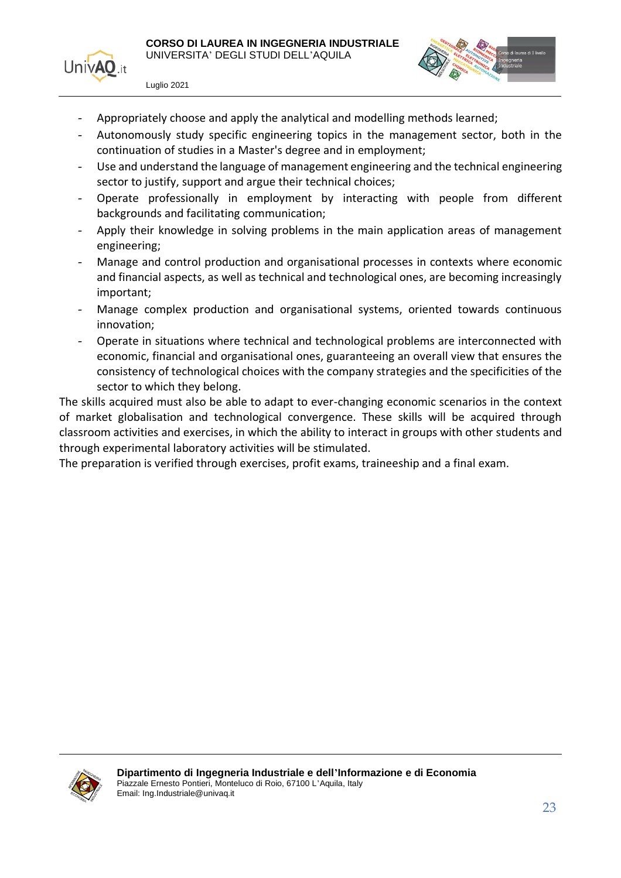



- Appropriately choose and apply the analytical and modelling methods learned;
- Autonomously study specific engineering topics in the management sector, both in the continuation of studies in a Master's degree and in employment;
- Use and understand the language of management engineering and the technical engineering sector to justify, support and argue their technical choices;
- Operate professionally in employment by interacting with people from different backgrounds and facilitating communication;
- Apply their knowledge in solving problems in the main application areas of management engineering;
- Manage and control production and organisational processes in contexts where economic and financial aspects, as well as technical and technological ones, are becoming increasingly important;
- Manage complex production and organisational systems, oriented towards continuous innovation;
- Operate in situations where technical and technological problems are interconnected with economic, financial and organisational ones, guaranteeing an overall view that ensures the consistency of technological choices with the company strategies and the specificities of the sector to which they belong.

The skills acquired must also be able to adapt to ever-changing economic scenarios in the context of market globalisation and technological convergence. These skills will be acquired through classroom activities and exercises, in which the ability to interact in groups with other students and through experimental laboratory activities will be stimulated.

The preparation is verified through exercises, profit exams, traineeship and a final exam.

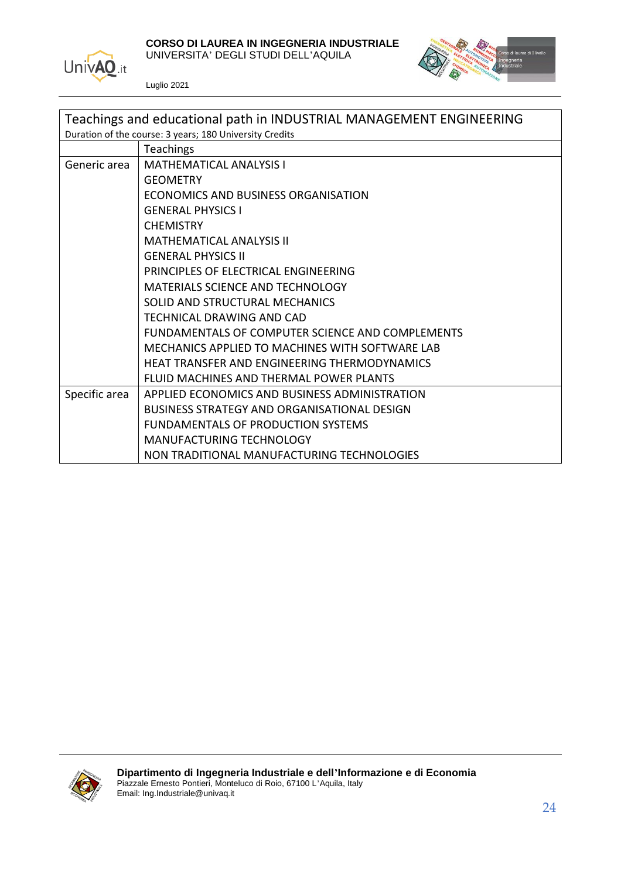

#### **CORSO DI LAUREA IN INGEGNERIA INDUSTRIALE**

UNIVERSITA' DEGLI STUDI DELL'AQUILA



| Teachings and educational path in INDUSTRIAL MANAGEMENT ENGINEERING |                                                  |
|---------------------------------------------------------------------|--------------------------------------------------|
| Duration of the course: 3 years; 180 University Credits             |                                                  |
|                                                                     | <b>Teachings</b>                                 |
| Generic area                                                        | <b>MATHEMATICAL ANALYSIS I</b>                   |
|                                                                     | <b>GEOMETRY</b>                                  |
|                                                                     | ECONOMICS AND BUSINESS ORGANISATION              |
|                                                                     | <b>GENERAL PHYSICS I</b>                         |
|                                                                     | <b>CHEMISTRY</b>                                 |
|                                                                     | <b>MATHEMATICAL ANALYSIS II</b>                  |
|                                                                     | <b>GENERAL PHYSICS II</b>                        |
|                                                                     | PRINCIPLES OF ELECTRICAL ENGINEERING             |
|                                                                     | MATERIALS SCIENCE AND TECHNOLOGY                 |
|                                                                     | SOLID AND STRUCTURAL MECHANICS                   |
|                                                                     | TECHNICAL DRAWING AND CAD                        |
|                                                                     | FUNDAMENTALS OF COMPUTER SCIENCE AND COMPLEMENTS |
|                                                                     | MECHANICS APPLIED TO MACHINES WITH SOFTWARE LAB  |
|                                                                     | HEAT TRANSFER AND ENGINEERING THERMODYNAMICS     |
|                                                                     | FLUID MACHINES AND THERMAL POWER PLANTS          |
| Specific area                                                       | APPLIED ECONOMICS AND BUSINESS ADMINISTRATION    |
|                                                                     | BUSINESS STRATEGY AND ORGANISATIONAL DESIGN      |
|                                                                     | FUNDAMENTALS OF PRODUCTION SYSTEMS               |
|                                                                     | <b>MANUFACTURING TECHNOLOGY</b>                  |
|                                                                     | NON TRADITIONAL MANUFACTURING TECHNOLOGIES       |

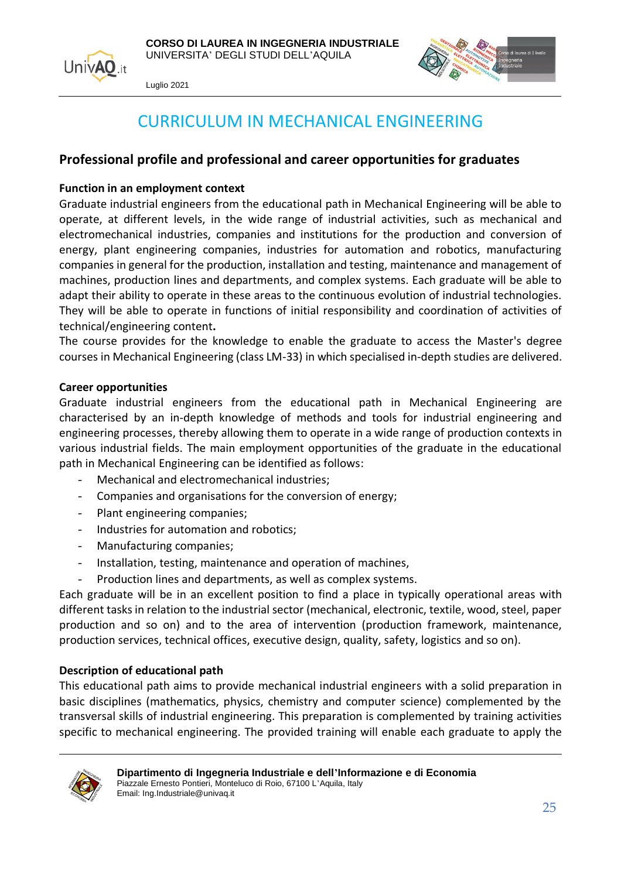



### CURRICULUM IN MECHANICAL ENGINEERING

#### <span id="page-24-0"></span>**Professional profile and professional and career opportunities for graduates**

#### **Function in an employment context**

Graduate industrial engineers from the educational path in Mechanical Engineering will be able to operate, at different levels, in the wide range of industrial activities, such as mechanical and electromechanical industries, companies and institutions for the production and conversion of energy, plant engineering companies, industries for automation and robotics, manufacturing companies in general for the production, installation and testing, maintenance and management of machines, production lines and departments, and complex systems. Each graduate will be able to adapt their ability to operate in these areas to the continuous evolution of industrial technologies. They will be able to operate in functions of initial responsibility and coordination of activities of technical/engineering content**.**

The course provides for the knowledge to enable the graduate to access the Master's degree courses in Mechanical Engineering (class LM-33) in which specialised in-depth studies are delivered.

#### **Career opportunities**

Graduate industrial engineers from the educational path in Mechanical Engineering are characterised by an in-depth knowledge of methods and tools for industrial engineering and engineering processes, thereby allowing them to operate in a wide range of production contexts in various industrial fields. The main employment opportunities of the graduate in the educational path in Mechanical Engineering can be identified as follows:

- Mechanical and electromechanical industries;
- Companies and organisations for the conversion of energy;
- Plant engineering companies;
- Industries for automation and robotics:
- Manufacturing companies;
- Installation, testing, maintenance and operation of machines,
- Production lines and departments, as well as complex systems.

Each graduate will be in an excellent position to find a place in typically operational areas with different tasks in relation to the industrial sector (mechanical, electronic, textile, wood, steel, paper production and so on) and to the area of intervention (production framework, maintenance, production services, technical offices, executive design, quality, safety, logistics and so on).

#### **Description of educational path**

This educational path aims to provide mechanical industrial engineers with a solid preparation in basic disciplines (mathematics, physics, chemistry and computer science) complemented by the transversal skills of industrial engineering. This preparation is complemented by training activities specific to mechanical engineering. The provided training will enable each graduate to apply the

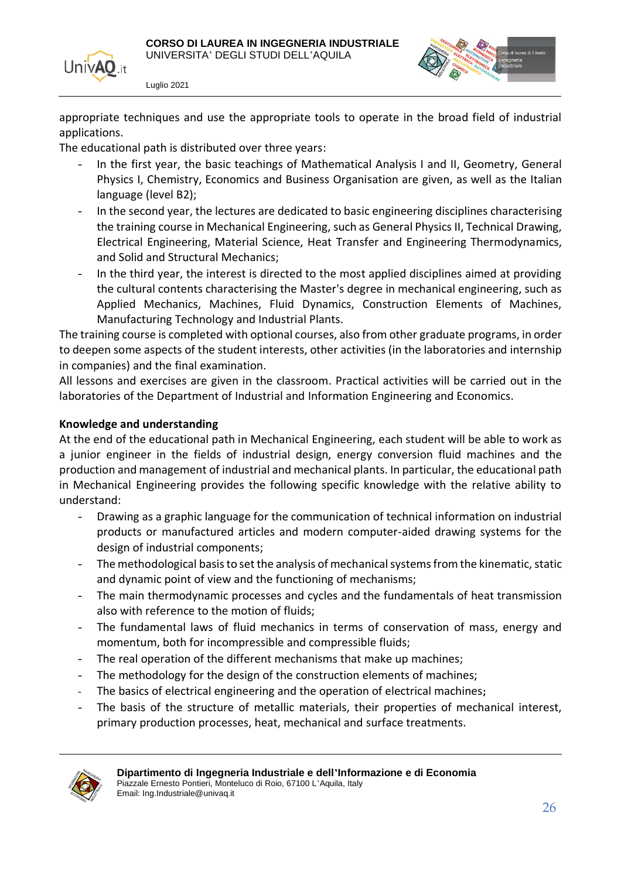



appropriate techniques and use the appropriate tools to operate in the broad field of industrial applications.

The educational path is distributed over three years:

- In the first year, the basic teachings of Mathematical Analysis I and II, Geometry, General Physics I, Chemistry, Economics and Business Organisation are given, as well as the Italian language (level B2);
- In the second year, the lectures are dedicated to basic engineering disciplines characterising the training course in Mechanical Engineering, such as General Physics II, Technical Drawing, Electrical Engineering, Material Science, Heat Transfer and Engineering Thermodynamics, and Solid and Structural Mechanics;
- In the third year, the interest is directed to the most applied disciplines aimed at providing the cultural contents characterising the Master's degree in mechanical engineering, such as Applied Mechanics, Machines, Fluid Dynamics, Construction Elements of Machines, Manufacturing Technology and Industrial Plants.

The training course is completed with optional courses, also from other graduate programs, in order to deepen some aspects of the student interests, other activities (in the laboratories and internship in companies) and the final examination.

All lessons and exercises are given in the classroom. Practical activities will be carried out in the laboratories of the Department of Industrial and Information Engineering and Economics.

#### **Knowledge and understanding**

At the end of the educational path in Mechanical Engineering, each student will be able to work as a junior engineer in the fields of industrial design, energy conversion fluid machines and the production and management of industrial and mechanical plants. In particular, the educational path in Mechanical Engineering provides the following specific knowledge with the relative ability to understand:

- Drawing as a graphic language for the communication of technical information on industrial products or manufactured articles and modern computer-aided drawing systems for the design of industrial components;
- The methodological basis to set the analysis of mechanical systems from the kinematic, static and dynamic point of view and the functioning of mechanisms;
- The main thermodynamic processes and cycles and the fundamentals of heat transmission also with reference to the motion of fluids;
- The fundamental laws of fluid mechanics in terms of conservation of mass, energy and momentum, both for incompressible and compressible fluids;
- The real operation of the different mechanisms that make up machines;
- The methodology for the design of the construction elements of machines;
- The basics of electrical engineering and the operation of electrical machines**;**
- The basis of the structure of metallic materials, their properties of mechanical interest, primary production processes, heat, mechanical and surface treatments.

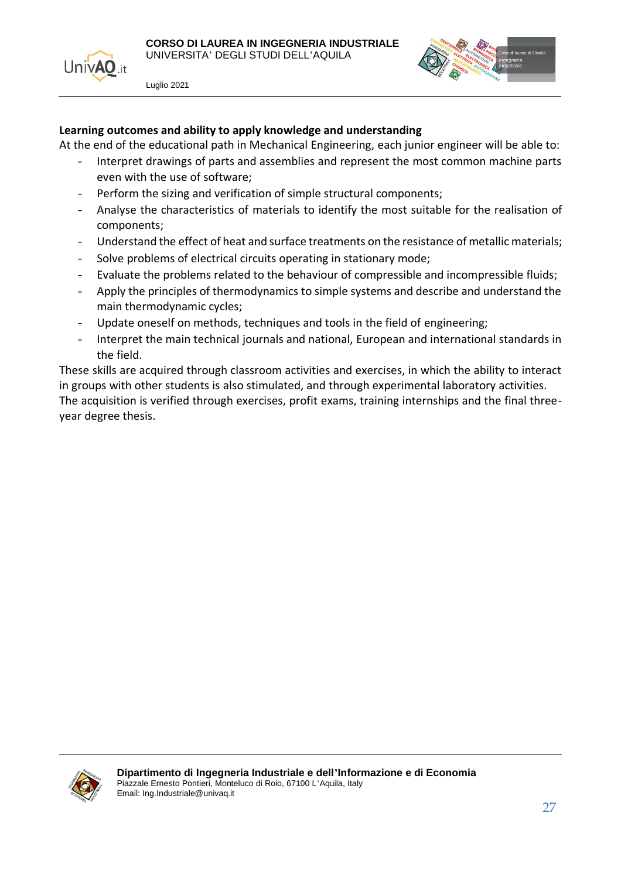



#### **Learning outcomes and ability to apply knowledge and understanding**

At the end of the educational path in Mechanical Engineering, each junior engineer will be able to:

- Interpret drawings of parts and assemblies and represent the most common machine parts even with the use of software;
- Perform the sizing and verification of simple structural components;
- Analyse the characteristics of materials to identify the most suitable for the realisation of components;
- Understand the effect of heat and surface treatments on the resistance of metallic materials;
- Solve problems of electrical circuits operating in stationary mode;
- Evaluate the problems related to the behaviour of compressible and incompressible fluids;
- Apply the principles of thermodynamics to simple systems and describe and understand the main thermodynamic cycles;
- Update oneself on methods, techniques and tools in the field of engineering;
- Interpret the main technical journals and national, European and international standards in the field.

These skills are acquired through classroom activities and exercises, in which the ability to interact in groups with other students is also stimulated, and through experimental laboratory activities. The acquisition is verified through exercises, profit exams, training internships and the final threeyear degree thesis.